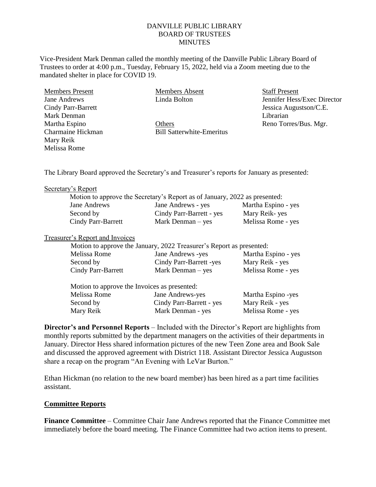# DANVILLE PUBLIC LIBRARY BOARD OF TRUSTEES **MINUTES**

Vice-President Mark Denman called the monthly meeting of the Danville Public Library Board of Trustees to order at 4:00 p.m., Tuesday, February 15, 2022, held via a Zoom meeting due to the mandated shelter in place for COVID 19.

Members Present Jane Andrews Cindy Parr-Barrett Mark Denman Martha Espino Charmaine Hickman Mary Reik Melissa Rome

Members Absent Linda Bolton

**Others** Bill Satterwhite-Emeritus Staff Present Jennifer Hess/Exec Director Jessica Augustson/C.E. Librarian Reno Torres/Bus. Mgr.

The Library Board approved the Secretary's and Treasurer's reports for January as presented:

#### Secretary's Report

|                    | Motion to approve the Secretary's Report as of January, 2022 as presented: |                     |
|--------------------|----------------------------------------------------------------------------|---------------------|
| Jane Andrews       | Jane Andrews - yes                                                         | Martha Espino - yes |
| Second by          | Cindy Parr-Barrett - yes                                                   | Mary Reik-yes       |
| Cindy Parr-Barrett | Mark Denman $-$ yes                                                        | Melissa Rome - yes  |

### Treasurer's Report and Invoices

|                                              | Motion to approve the January, 2022 Treasurer's Report as presented: |                     |
|----------------------------------------------|----------------------------------------------------------------------|---------------------|
| Melissa Rome                                 | Jane Andrews -yes                                                    | Martha Espino - yes |
| Second by                                    | Cindy Parr-Barrett -yes                                              | Mary Reik - yes     |
| Cindy Parr-Barrett                           | Mark Denman $-$ yes                                                  | Melissa Rome - yes  |
| Motion to approve the Invoices as presented: |                                                                      |                     |

| indition to approve the involces as presented. |                    |  |
|------------------------------------------------|--------------------|--|
| Jane Andrews-yes                               | Martha Espino -yes |  |
| Cindy Parr-Barrett - yes                       | Mary Reik - yes    |  |
| Mark Denman - yes                              | Melissa Rome - yes |  |
|                                                |                    |  |

**Director's and Personnel Reports** – Included with the Director's Report are highlights from monthly reports submitted by the department managers on the activities of their departments in January. Director Hess shared information pictures of the new Teen Zone area and Book Sale and discussed the approved agreement with District 118. Assistant Director Jessica Augustson share a recap on the program "An Evening with LeVar Burton."

Ethan Hickman (no relation to the new board member) has been hired as a part time facilities assistant.

# **Committee Reports**

**Finance Committee** – Committee Chair Jane Andrews reported that the Finance Committee met immediately before the board meeting. The Finance Committee had two action items to present.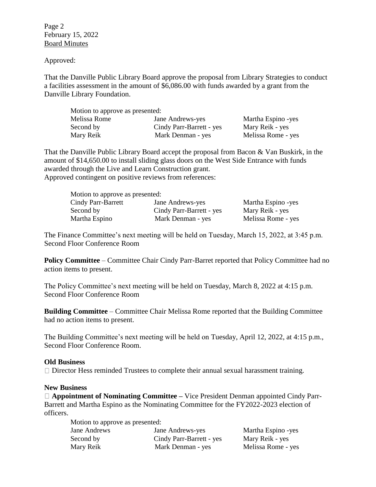Page 2 February 15, 2022 Board Minutes

Approved:

That the Danville Public Library Board approve the proposal from Library Strategies to conduct a facilities assessment in the amount of \$6,086.00 with funds awarded by a grant from the Danville Library Foundation.

| Motion to approve as presented: |                          |                    |  |  |
|---------------------------------|--------------------------|--------------------|--|--|
| Melissa Rome                    | Jane Andrews-yes         | Martha Espino -yes |  |  |
| Second by                       | Cindy Parr-Barrett - yes | Mary Reik - yes    |  |  |
| Mary Reik                       | Mark Denman - yes        | Melissa Rome - yes |  |  |

That the Danville Public Library Board accept the proposal from Bacon & Van Buskirk, in the amount of \$14,650.00 to install sliding glass doors on the West Side Entrance with funds awarded through the Live and Learn Construction grant. Approved contingent on positive reviews from references:

| Motion to approve as presented: |                          |                    |  |  |
|---------------------------------|--------------------------|--------------------|--|--|
| Cindy Parr-Barrett              | Jane Andrews-yes         | Martha Espino -yes |  |  |
| Second by                       | Cindy Parr-Barrett - yes | Mary Reik - yes    |  |  |
| Martha Espino                   | Mark Denman - yes        | Melissa Rome - yes |  |  |

The Finance Committee's next meeting will be held on Tuesday, March 15, 2022, at 3:45 p.m. Second Floor Conference Room

**Policy Committee** – Committee Chair Cindy Parr-Barret reported that Policy Committee had no action items to present.

The Policy Committee's next meeting will be held on Tuesday, March 8, 2022 at 4:15 p.m. Second Floor Conference Room

**Building Committee** – Committee Chair Melissa Rome reported that the Building Committee had no action items to present.

The Building Committee's next meeting will be held on Tuesday, April 12, 2022, at 4:15 p.m., Second Floor Conference Room.

### **Old Business**

 $\Box$  Director Hess reminded Trustees to complete their annual sexual harassment training.

### **New Business**

**Appointment of Nominating Committee –** Vice President Denman appointed Cindy Parr-Barrett and Martha Espino as the Nominating Committee for the FY2022-2023 election of officers.

| Motion to approve as presented: |                          |                    |  |
|---------------------------------|--------------------------|--------------------|--|
| Jane Andrews                    | Jane Andrews-yes         | Martha Espino -yes |  |
| Second by                       | Cindy Parr-Barrett - yes | Mary Reik - yes    |  |
| Mary Reik                       | Mark Denman - yes        | Melissa Rome - yes |  |